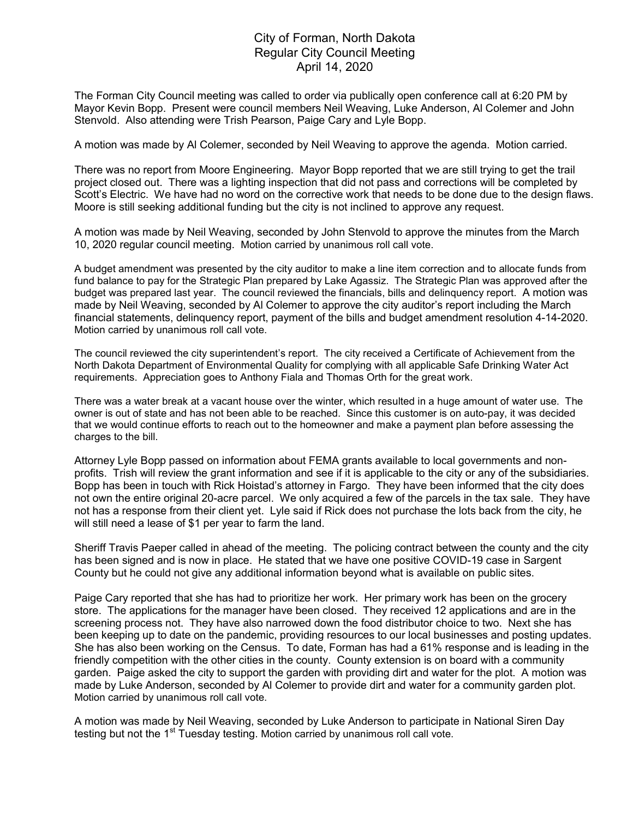## City of Forman, North Dakota Regular City Council Meeting April 14, 2020

The Forman City Council meeting was called to order via publically open conference call at 6:20 PM by Mayor Kevin Bopp. Present were council members Neil Weaving, Luke Anderson, Al Colemer and John Stenvold. Also attending were Trish Pearson, Paige Cary and Lyle Bopp.

A motion was made by Al Colemer, seconded by Neil Weaving to approve the agenda. Motion carried.

There was no report from Moore Engineering. Mayor Bopp reported that we are still trying to get the trail project closed out. There was a lighting inspection that did not pass and corrections will be completed by Scott's Electric. We have had no word on the corrective work that needs to be done due to the design flaws. Moore is still seeking additional funding but the city is not inclined to approve any request.

A motion was made by Neil Weaving, seconded by John Stenvold to approve the minutes from the March 10, 2020 regular council meeting. Motion carried by unanimous roll call vote.

A budget amendment was presented by the city auditor to make a line item correction and to allocate funds from fund balance to pay for the Strategic Plan prepared by Lake Agassiz. The Strategic Plan was approved after the budget was prepared last year. The council reviewed the financials, bills and delinquency report. A motion was made by Neil Weaving, seconded by Al Colemer to approve the city auditor's report including the March financial statements, delinquency report, payment of the bills and budget amendment resolution 4-14-2020. Motion carried by unanimous roll call vote.

The council reviewed the city superintendent's report. The city received a Certificate of Achievement from the North Dakota Department of Environmental Quality for complying with all applicable Safe Drinking Water Act requirements. Appreciation goes to Anthony Fiala and Thomas Orth for the great work.

There was a water break at a vacant house over the winter, which resulted in a huge amount of water use. The owner is out of state and has not been able to be reached. Since this customer is on auto-pay, it was decided that we would continue efforts to reach out to the homeowner and make a payment plan before assessing the charges to the bill.

Attorney Lyle Bopp passed on information about FEMA grants available to local governments and nonprofits. Trish will review the grant information and see if it is applicable to the city or any of the subsidiaries. Bopp has been in touch with Rick Hoistad's attorney in Fargo. They have been informed that the city does not own the entire original 20-acre parcel. We only acquired a few of the parcels in the tax sale. They have not has a response from their client yet. Lyle said if Rick does not purchase the lots back from the city, he will still need a lease of \$1 per year to farm the land.

Sheriff Travis Paeper called in ahead of the meeting. The policing contract between the county and the city has been signed and is now in place. He stated that we have one positive COVID-19 case in Sargent County but he could not give any additional information beyond what is available on public sites.

Paige Cary reported that she has had to prioritize her work. Her primary work has been on the grocery store. The applications for the manager have been closed. They received 12 applications and are in the screening process not. They have also narrowed down the food distributor choice to two. Next she has been keeping up to date on the pandemic, providing resources to our local businesses and posting updates. She has also been working on the Census. To date, Forman has had a 61% response and is leading in the friendly competition with the other cities in the county. County extension is on board with a community garden. Paige asked the city to support the garden with providing dirt and water for the plot. A motion was made by Luke Anderson, seconded by Al Colemer to provide dirt and water for a community garden plot. Motion carried by unanimous roll call vote.

A motion was made by Neil Weaving, seconded by Luke Anderson to participate in National Siren Day testing but not the 1<sup>st</sup> Tuesday testing. Motion carried by unanimous roll call vote.